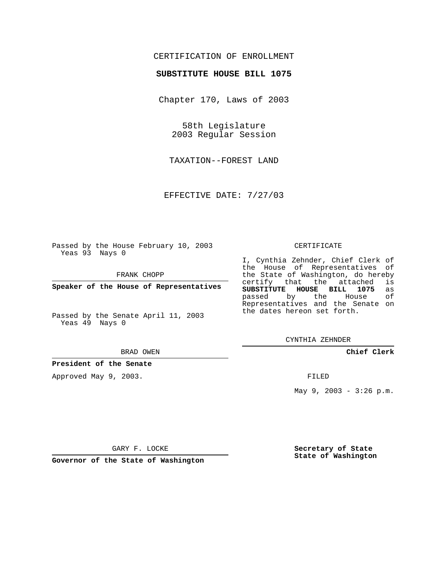## CERTIFICATION OF ENROLLMENT

### **SUBSTITUTE HOUSE BILL 1075**

Chapter 170, Laws of 2003

58th Legislature 2003 Regular Session

TAXATION--FOREST LAND

EFFECTIVE DATE: 7/27/03

Passed by the House February 10, 2003 Yeas 93 Nays 0

FRANK CHOPP

**Speaker of the House of Representatives**

Passed by the Senate April 11, 2003 Yeas 49 Nays 0

#### BRAD OWEN

**President of the Senate**

Approved May 9, 2003.

#### CERTIFICATE

I, Cynthia Zehnder, Chief Clerk of the House of Representatives of the State of Washington, do hereby<br>certify that the attached is certify that the attached **SUBSTITUTE HOUSE BILL 1075** as passed by the Representatives and the Senate on the dates hereon set forth.

CYNTHIA ZEHNDER

## **Chief Clerk**

FILED

May 9, 2003 - 3:26 p.m.

GARY F. LOCKE

**Governor of the State of Washington**

**Secretary of State State of Washington**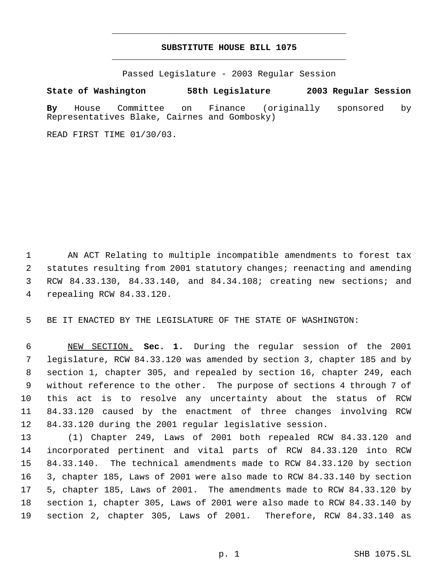# **SUBSTITUTE HOUSE BILL 1075** \_\_\_\_\_\_\_\_\_\_\_\_\_\_\_\_\_\_\_\_\_\_\_\_\_\_\_\_\_\_\_\_\_\_\_\_\_\_\_\_\_\_\_\_\_

\_\_\_\_\_\_\_\_\_\_\_\_\_\_\_\_\_\_\_\_\_\_\_\_\_\_\_\_\_\_\_\_\_\_\_\_\_\_\_\_\_\_\_\_\_

Passed Legislature - 2003 Regular Session

**State of Washington 58th Legislature 2003 Regular Session**

**By** House Committee on Finance (originally sponsored by Representatives Blake, Cairnes and Gombosky)

READ FIRST TIME 01/30/03.

 AN ACT Relating to multiple incompatible amendments to forest tax statutes resulting from 2001 statutory changes; reenacting and amending RCW 84.33.130, 84.33.140, and 84.34.108; creating new sections; and repealing RCW 84.33.120.

BE IT ENACTED BY THE LEGISLATURE OF THE STATE OF WASHINGTON:

 NEW SECTION. **Sec. 1.** During the regular session of the 2001 legislature, RCW 84.33.120 was amended by section 3, chapter 185 and by section 1, chapter 305, and repealed by section 16, chapter 249, each without reference to the other. The purpose of sections 4 through 7 of this act is to resolve any uncertainty about the status of RCW 84.33.120 caused by the enactment of three changes involving RCW 84.33.120 during the 2001 regular legislative session.

 (1) Chapter 249, Laws of 2001 both repealed RCW 84.33.120 and incorporated pertinent and vital parts of RCW 84.33.120 into RCW 84.33.140. The technical amendments made to RCW 84.33.120 by section 3, chapter 185, Laws of 2001 were also made to RCW 84.33.140 by section 5, chapter 185, Laws of 2001. The amendments made to RCW 84.33.120 by section 1, chapter 305, Laws of 2001 were also made to RCW 84.33.140 by section 2, chapter 305, Laws of 2001. Therefore, RCW 84.33.140 as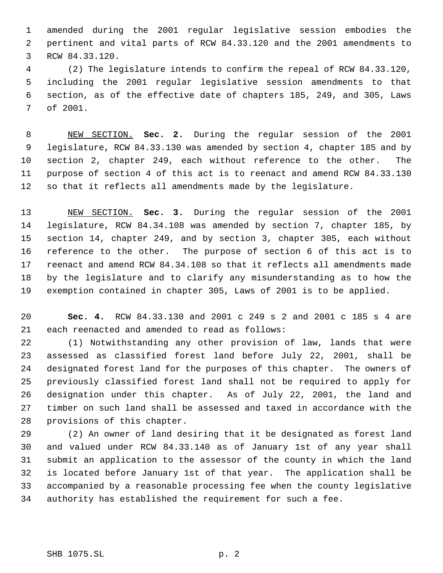amended during the 2001 regular legislative session embodies the pertinent and vital parts of RCW 84.33.120 and the 2001 amendments to RCW 84.33.120.

 (2) The legislature intends to confirm the repeal of RCW 84.33.120, including the 2001 regular legislative session amendments to that section, as of the effective date of chapters 185, 249, and 305, Laws of 2001.

 NEW SECTION. **Sec. 2.** During the regular session of the 2001 legislature, RCW 84.33.130 was amended by section 4, chapter 185 and by section 2, chapter 249, each without reference to the other. The purpose of section 4 of this act is to reenact and amend RCW 84.33.130 so that it reflects all amendments made by the legislature.

 NEW SECTION. **Sec. 3.** During the regular session of the 2001 legislature, RCW 84.34.108 was amended by section 7, chapter 185, by section 14, chapter 249, and by section 3, chapter 305, each without reference to the other. The purpose of section 6 of this act is to reenact and amend RCW 84.34.108 so that it reflects all amendments made by the legislature and to clarify any misunderstanding as to how the exemption contained in chapter 305, Laws of 2001 is to be applied.

 **Sec. 4.** RCW 84.33.130 and 2001 c 249 s 2 and 2001 c 185 s 4 are each reenacted and amended to read as follows:

 (1) Notwithstanding any other provision of law, lands that were assessed as classified forest land before July 22, 2001, shall be designated forest land for the purposes of this chapter. The owners of previously classified forest land shall not be required to apply for designation under this chapter. As of July 22, 2001, the land and timber on such land shall be assessed and taxed in accordance with the provisions of this chapter.

 (2) An owner of land desiring that it be designated as forest land and valued under RCW 84.33.140 as of January 1st of any year shall submit an application to the assessor of the county in which the land is located before January 1st of that year. The application shall be accompanied by a reasonable processing fee when the county legislative authority has established the requirement for such a fee.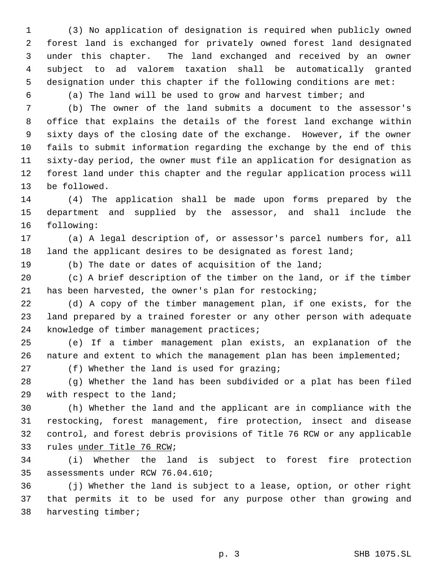(3) No application of designation is required when publicly owned forest land is exchanged for privately owned forest land designated under this chapter. The land exchanged and received by an owner subject to ad valorem taxation shall be automatically granted designation under this chapter if the following conditions are met:

(a) The land will be used to grow and harvest timber; and

 (b) The owner of the land submits a document to the assessor's office that explains the details of the forest land exchange within sixty days of the closing date of the exchange. However, if the owner fails to submit information regarding the exchange by the end of this sixty-day period, the owner must file an application for designation as forest land under this chapter and the regular application process will be followed.

 (4) The application shall be made upon forms prepared by the department and supplied by the assessor, and shall include the following:

 (a) A legal description of, or assessor's parcel numbers for, all 18 land the applicant desires to be designated as forest land;

(b) The date or dates of acquisition of the land;

 (c) A brief description of the timber on the land, or if the timber has been harvested, the owner's plan for restocking;

 (d) A copy of the timber management plan, if one exists, for the land prepared by a trained forester or any other person with adequate knowledge of timber management practices;

 (e) If a timber management plan exists, an explanation of the nature and extent to which the management plan has been implemented;

(f) Whether the land is used for grazing;

 (g) Whether the land has been subdivided or a plat has been filed with respect to the land;

 (h) Whether the land and the applicant are in compliance with the restocking, forest management, fire protection, insect and disease control, and forest debris provisions of Title 76 RCW or any applicable rules under Title 76 RCW;

 (i) Whether the land is subject to forest fire protection assessments under RCW 76.04.610;

 (j) Whether the land is subject to a lease, option, or other right that permits it to be used for any purpose other than growing and harvesting timber;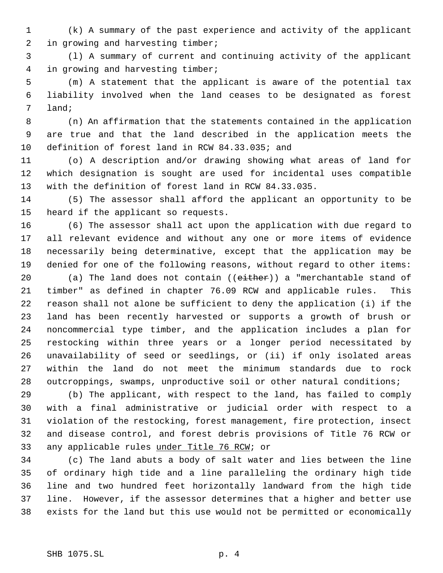(k) A summary of the past experience and activity of the applicant in growing and harvesting timber;

 (l) A summary of current and continuing activity of the applicant in growing and harvesting timber;

 (m) A statement that the applicant is aware of the potential tax liability involved when the land ceases to be designated as forest land;

 (n) An affirmation that the statements contained in the application are true and that the land described in the application meets the definition of forest land in RCW 84.33.035; and

 (o) A description and/or drawing showing what areas of land for which designation is sought are used for incidental uses compatible with the definition of forest land in RCW 84.33.035.

 (5) The assessor shall afford the applicant an opportunity to be heard if the applicant so requests.

 (6) The assessor shall act upon the application with due regard to all relevant evidence and without any one or more items of evidence necessarily being determinative, except that the application may be denied for one of the following reasons, without regard to other items:

20 (a) The land does not contain ((either)) a "merchantable stand of timber" as defined in chapter 76.09 RCW and applicable rules. This reason shall not alone be sufficient to deny the application (i) if the land has been recently harvested or supports a growth of brush or noncommercial type timber, and the application includes a plan for restocking within three years or a longer period necessitated by unavailability of seed or seedlings, or (ii) if only isolated areas within the land do not meet the minimum standards due to rock outcroppings, swamps, unproductive soil or other natural conditions;

 (b) The applicant, with respect to the land, has failed to comply with a final administrative or judicial order with respect to a violation of the restocking, forest management, fire protection, insect and disease control, and forest debris provisions of Title 76 RCW or any applicable rules under Title 76 RCW; or

 (c) The land abuts a body of salt water and lies between the line of ordinary high tide and a line paralleling the ordinary high tide line and two hundred feet horizontally landward from the high tide line. However, if the assessor determines that a higher and better use exists for the land but this use would not be permitted or economically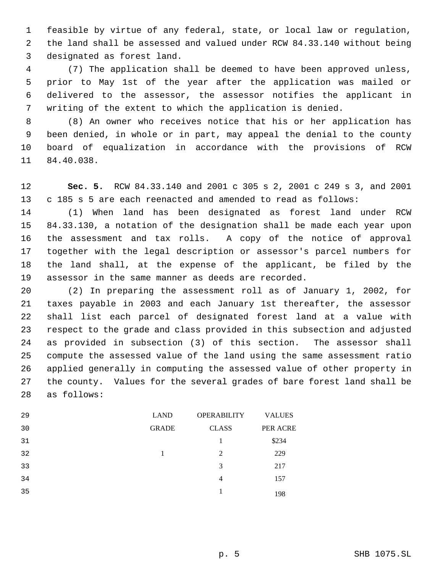feasible by virtue of any federal, state, or local law or regulation, the land shall be assessed and valued under RCW 84.33.140 without being designated as forest land.

 (7) The application shall be deemed to have been approved unless, prior to May 1st of the year after the application was mailed or delivered to the assessor, the assessor notifies the applicant in writing of the extent to which the application is denied.

 (8) An owner who receives notice that his or her application has been denied, in whole or in part, may appeal the denial to the county board of equalization in accordance with the provisions of RCW 84.40.038.

 **Sec. 5.** RCW 84.33.140 and 2001 c 305 s 2, 2001 c 249 s 3, and 2001 c 185 s 5 are each reenacted and amended to read as follows:

 (1) When land has been designated as forest land under RCW 84.33.130, a notation of the designation shall be made each year upon the assessment and tax rolls. A copy of the notice of approval together with the legal description or assessor's parcel numbers for the land shall, at the expense of the applicant, be filed by the assessor in the same manner as deeds are recorded.

 (2) In preparing the assessment roll as of January 1, 2002, for taxes payable in 2003 and each January 1st thereafter, the assessor shall list each parcel of designated forest land at a value with respect to the grade and class provided in this subsection and adjusted as provided in subsection (3) of this section. The assessor shall compute the assessed value of the land using the same assessment ratio applied generally in computing the assessed value of other property in the county. Values for the several grades of bare forest land shall be as follows:

| 29 | <b>LAND</b>  | <b>OPERABILITY</b> | <b>VALUES</b> |
|----|--------------|--------------------|---------------|
| 30 | <b>GRADE</b> | <b>CLASS</b>       | PER ACRE      |
| 31 |              | 1                  | \$234         |
| 32 |              | 2                  | 229           |
| 33 |              | 3                  | 217           |
| 34 |              | 4                  | 157           |
| 35 |              | 1                  | 198           |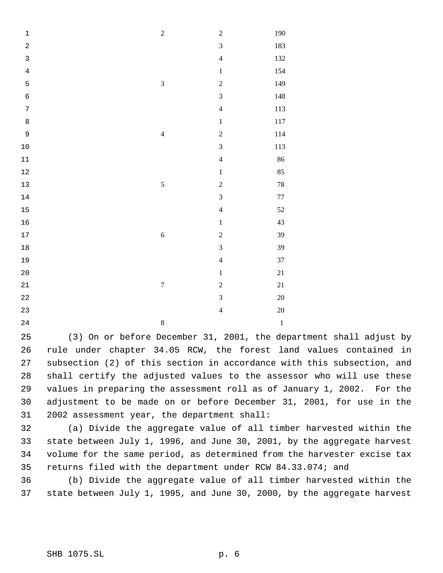| $\mathbf 1$                      | $\sqrt{2}$              | $\overline{c}$          | 190     |
|----------------------------------|-------------------------|-------------------------|---------|
| $\overline{a}$                   |                         | $\overline{\mathbf{3}}$ | 183     |
| $\mathbf{3}$                     |                         | $\overline{4}$          | 132     |
| $\bf 4$                          |                         | $\,1$                   | 154     |
| 5                                | $\overline{\mathbf{3}}$ | $\overline{c}$          | 149     |
| $\epsilon$                       |                         | $\overline{\mathbf{3}}$ | $148\,$ |
| $\sqrt{ }$                       |                         | $\overline{4}$          | 113     |
| $\begin{array}{c} 8 \end{array}$ |                         | $\,1\,$                 | $117\,$ |
| 9                                | $\overline{4}$          | $\overline{c}$          | 114     |
| $10$                             |                         | $\overline{\mathbf{3}}$ | 113     |
| $11\,$                           |                         | $\overline{4}$          | 86      |
| $12\,$                           |                         | $\,1$                   | 85      |
| 13                               | $\sqrt{5}$              | $\overline{c}$          | $78\,$  |
| $14$                             |                         | $\overline{3}$          | $77\,$  |
| 15                               |                         | $\overline{4}$          | $52\,$  |
| 16                               |                         | $\,1$                   | 43      |
| $17$                             | $\sqrt{6}$              | $\overline{c}$          | 39      |
| $1\,8$                           |                         | $\overline{\mathbf{3}}$ | 39      |
| 19                               |                         | $\overline{4}$          | $37\,$  |
| $20\,$                           |                         | $\,1\,$                 | $21\,$  |
| $2\sqrt{1}$                      | $\boldsymbol{7}$        | $\overline{2}$          | $21\,$  |
| $2\sqrt{2}$                      |                         | $\overline{\mathbf{3}}$ | $20\,$  |
| 23                               |                         | $\overline{4}$          | 20      |
| $2\sqrt{4}$                      | $\,8$                   |                         | $\,1\,$ |

 (3) On or before December 31, 2001, the department shall adjust by rule under chapter 34.05 RCW, the forest land values contained in subsection (2) of this section in accordance with this subsection, and shall certify the adjusted values to the assessor who will use these values in preparing the assessment roll as of January 1, 2002. For the adjustment to be made on or before December 31, 2001, for use in the 2002 assessment year, the department shall:

 (a) Divide the aggregate value of all timber harvested within the state between July 1, 1996, and June 30, 2001, by the aggregate harvest volume for the same period, as determined from the harvester excise tax returns filed with the department under RCW 84.33.074; and

 (b) Divide the aggregate value of all timber harvested within the state between July 1, 1995, and June 30, 2000, by the aggregate harvest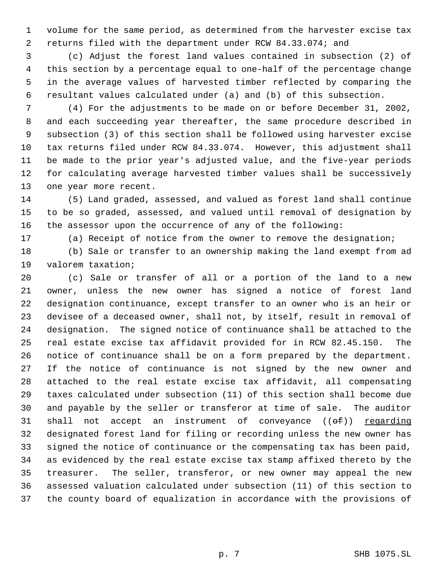volume for the same period, as determined from the harvester excise tax returns filed with the department under RCW 84.33.074; and

 (c) Adjust the forest land values contained in subsection (2) of this section by a percentage equal to one-half of the percentage change in the average values of harvested timber reflected by comparing the resultant values calculated under (a) and (b) of this subsection.

 (4) For the adjustments to be made on or before December 31, 2002, and each succeeding year thereafter, the same procedure described in subsection (3) of this section shall be followed using harvester excise tax returns filed under RCW 84.33.074. However, this adjustment shall be made to the prior year's adjusted value, and the five-year periods for calculating average harvested timber values shall be successively one year more recent.

 (5) Land graded, assessed, and valued as forest land shall continue to be so graded, assessed, and valued until removal of designation by the assessor upon the occurrence of any of the following:

(a) Receipt of notice from the owner to remove the designation;

 (b) Sale or transfer to an ownership making the land exempt from ad valorem taxation;

 (c) Sale or transfer of all or a portion of the land to a new owner, unless the new owner has signed a notice of forest land designation continuance, except transfer to an owner who is an heir or devisee of a deceased owner, shall not, by itself, result in removal of designation. The signed notice of continuance shall be attached to the real estate excise tax affidavit provided for in RCW 82.45.150. The notice of continuance shall be on a form prepared by the department. If the notice of continuance is not signed by the new owner and attached to the real estate excise tax affidavit, all compensating taxes calculated under subsection (11) of this section shall become due and payable by the seller or transferor at time of sale. The auditor 31 shall not accept an instrument of conveyance  $((e f))$  regarding designated forest land for filing or recording unless the new owner has signed the notice of continuance or the compensating tax has been paid, as evidenced by the real estate excise tax stamp affixed thereto by the treasurer. The seller, transferor, or new owner may appeal the new assessed valuation calculated under subsection (11) of this section to the county board of equalization in accordance with the provisions of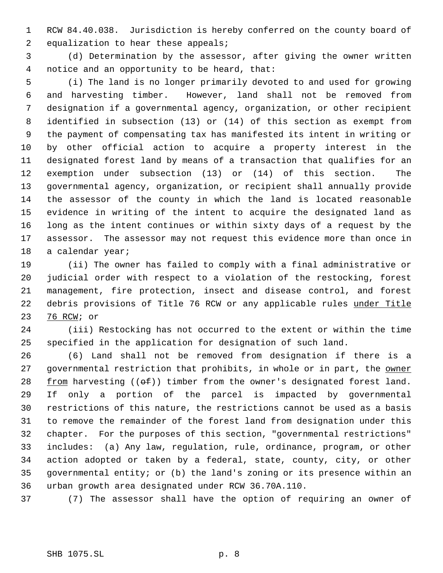RCW 84.40.038. Jurisdiction is hereby conferred on the county board of 2 equalization to hear these appeals;

 (d) Determination by the assessor, after giving the owner written notice and an opportunity to be heard, that:

 (i) The land is no longer primarily devoted to and used for growing and harvesting timber. However, land shall not be removed from designation if a governmental agency, organization, or other recipient identified in subsection (13) or (14) of this section as exempt from the payment of compensating tax has manifested its intent in writing or by other official action to acquire a property interest in the designated forest land by means of a transaction that qualifies for an exemption under subsection (13) or (14) of this section. The governmental agency, organization, or recipient shall annually provide the assessor of the county in which the land is located reasonable evidence in writing of the intent to acquire the designated land as long as the intent continues or within sixty days of a request by the assessor. The assessor may not request this evidence more than once in a calendar year;

 (ii) The owner has failed to comply with a final administrative or judicial order with respect to a violation of the restocking, forest management, fire protection, insect and disease control, and forest 22 debris provisions of Title 76 RCW or any applicable rules under Title 76 RCW; or

 (iii) Restocking has not occurred to the extent or within the time specified in the application for designation of such land.

 (6) Land shall not be removed from designation if there is a 27 governmental restriction that prohibits, in whole or in part, the owner  $f$ rom harvesting (( $\Theta$ f)) timber from the owner's designated forest land. If only a portion of the parcel is impacted by governmental restrictions of this nature, the restrictions cannot be used as a basis to remove the remainder of the forest land from designation under this chapter. For the purposes of this section, "governmental restrictions" includes: (a) Any law, regulation, rule, ordinance, program, or other action adopted or taken by a federal, state, county, city, or other governmental entity; or (b) the land's zoning or its presence within an urban growth area designated under RCW 36.70A.110.

(7) The assessor shall have the option of requiring an owner of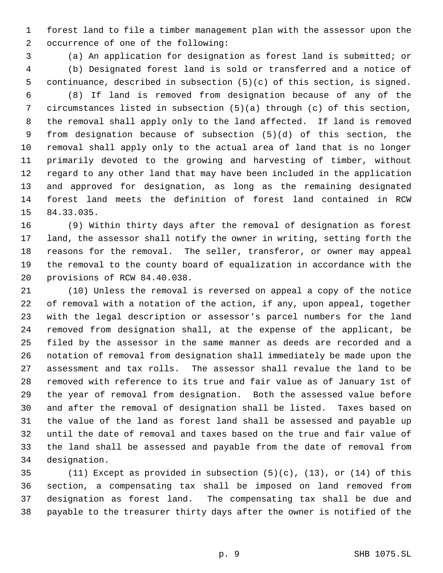forest land to file a timber management plan with the assessor upon the occurrence of one of the following:

 (a) An application for designation as forest land is submitted; or (b) Designated forest land is sold or transferred and a notice of

continuance, described in subsection (5)(c) of this section, is signed.

 (8) If land is removed from designation because of any of the circumstances listed in subsection (5)(a) through (c) of this section, the removal shall apply only to the land affected. If land is removed from designation because of subsection (5)(d) of this section, the removal shall apply only to the actual area of land that is no longer primarily devoted to the growing and harvesting of timber, without regard to any other land that may have been included in the application and approved for designation, as long as the remaining designated forest land meets the definition of forest land contained in RCW 84.33.035.

 (9) Within thirty days after the removal of designation as forest land, the assessor shall notify the owner in writing, setting forth the reasons for the removal. The seller, transferor, or owner may appeal the removal to the county board of equalization in accordance with the provisions of RCW 84.40.038.

 (10) Unless the removal is reversed on appeal a copy of the notice of removal with a notation of the action, if any, upon appeal, together with the legal description or assessor's parcel numbers for the land removed from designation shall, at the expense of the applicant, be filed by the assessor in the same manner as deeds are recorded and a notation of removal from designation shall immediately be made upon the assessment and tax rolls. The assessor shall revalue the land to be removed with reference to its true and fair value as of January 1st of the year of removal from designation. Both the assessed value before and after the removal of designation shall be listed. Taxes based on the value of the land as forest land shall be assessed and payable up until the date of removal and taxes based on the true and fair value of the land shall be assessed and payable from the date of removal from designation.

 (11) Except as provided in subsection (5)(c), (13), or (14) of this section, a compensating tax shall be imposed on land removed from designation as forest land. The compensating tax shall be due and payable to the treasurer thirty days after the owner is notified of the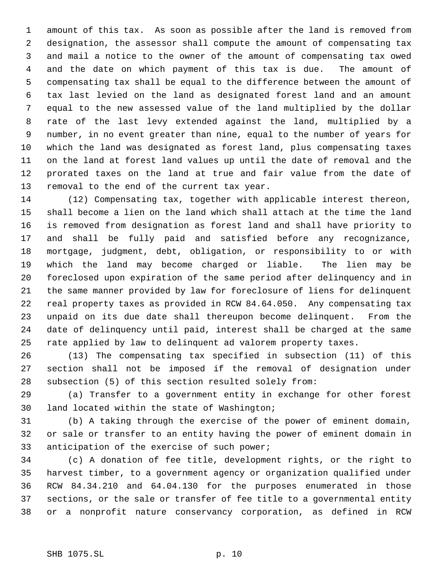amount of this tax. As soon as possible after the land is removed from designation, the assessor shall compute the amount of compensating tax and mail a notice to the owner of the amount of compensating tax owed and the date on which payment of this tax is due. The amount of compensating tax shall be equal to the difference between the amount of tax last levied on the land as designated forest land and an amount equal to the new assessed value of the land multiplied by the dollar rate of the last levy extended against the land, multiplied by a number, in no event greater than nine, equal to the number of years for which the land was designated as forest land, plus compensating taxes on the land at forest land values up until the date of removal and the prorated taxes on the land at true and fair value from the date of removal to the end of the current tax year.

 (12) Compensating tax, together with applicable interest thereon, shall become a lien on the land which shall attach at the time the land is removed from designation as forest land and shall have priority to and shall be fully paid and satisfied before any recognizance, mortgage, judgment, debt, obligation, or responsibility to or with which the land may become charged or liable. The lien may be foreclosed upon expiration of the same period after delinquency and in the same manner provided by law for foreclosure of liens for delinquent real property taxes as provided in RCW 84.64.050. Any compensating tax unpaid on its due date shall thereupon become delinquent. From the date of delinquency until paid, interest shall be charged at the same rate applied by law to delinquent ad valorem property taxes.

 (13) The compensating tax specified in subsection (11) of this section shall not be imposed if the removal of designation under subsection (5) of this section resulted solely from:

 (a) Transfer to a government entity in exchange for other forest land located within the state of Washington;

 (b) A taking through the exercise of the power of eminent domain, or sale or transfer to an entity having the power of eminent domain in anticipation of the exercise of such power;

 (c) A donation of fee title, development rights, or the right to harvest timber, to a government agency or organization qualified under RCW 84.34.210 and 64.04.130 for the purposes enumerated in those sections, or the sale or transfer of fee title to a governmental entity or a nonprofit nature conservancy corporation, as defined in RCW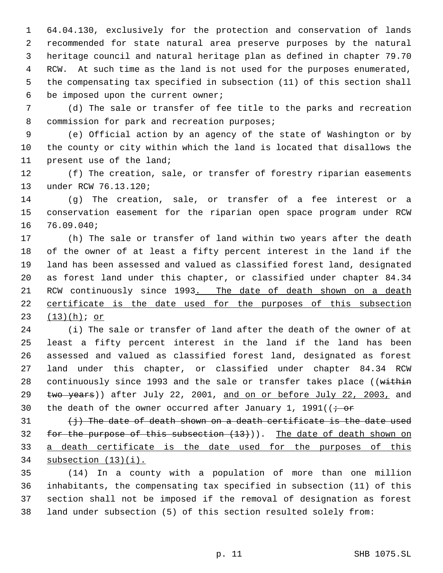64.04.130, exclusively for the protection and conservation of lands recommended for state natural area preserve purposes by the natural heritage council and natural heritage plan as defined in chapter 79.70 RCW. At such time as the land is not used for the purposes enumerated, the compensating tax specified in subsection (11) of this section shall be imposed upon the current owner;

 (d) The sale or transfer of fee title to the parks and recreation 8 commission for park and recreation purposes;

 (e) Official action by an agency of the state of Washington or by the county or city within which the land is located that disallows the present use of the land;

 (f) The creation, sale, or transfer of forestry riparian easements under RCW 76.13.120;

 (g) The creation, sale, or transfer of a fee interest or a conservation easement for the riparian open space program under RCW 76.09.040;

 (h) The sale or transfer of land within two years after the death of the owner of at least a fifty percent interest in the land if the land has been assessed and valued as classified forest land, designated as forest land under this chapter, or classified under chapter 84.34 21 RCW continuously since 1993. The date of death shown on a death 22 certificate is the date used for the purposes of this subsection (13)(h); or

 (i) The sale or transfer of land after the death of the owner of at least a fifty percent interest in the land if the land has been assessed and valued as classified forest land, designated as forest land under this chapter, or classified under chapter 84.34 RCW 28 continuously since 1993 and the sale or transfer takes place ((within 29 two years)) after July 22, 2001, and on or before July 22, 2003, and 30 the death of the owner occurred after January 1, 1991( $\left(i - \text{or } 0\right)$ 

 $\langle j \rangle$  The date of death shown on a death certificate is the date used 32 for the purpose of this subsection  $(13)$ )). The date of death shown on 33 a death certificate is the date used for the purposes of this subsection (13)(i).

 (14) In a county with a population of more than one million inhabitants, the compensating tax specified in subsection (11) of this section shall not be imposed if the removal of designation as forest land under subsection (5) of this section resulted solely from: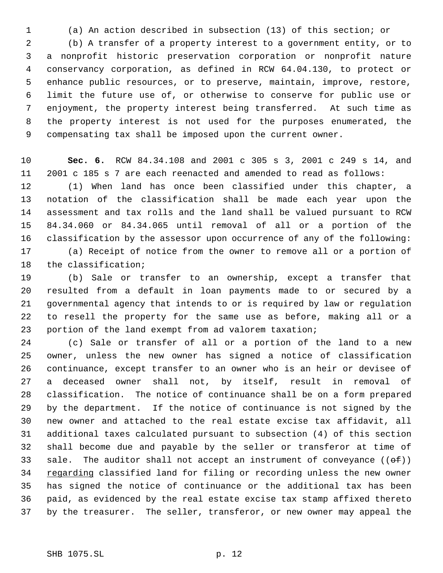(a) An action described in subsection (13) of this section; or

 (b) A transfer of a property interest to a government entity, or to a nonprofit historic preservation corporation or nonprofit nature conservancy corporation, as defined in RCW 64.04.130, to protect or enhance public resources, or to preserve, maintain, improve, restore, limit the future use of, or otherwise to conserve for public use or enjoyment, the property interest being transferred. At such time as the property interest is not used for the purposes enumerated, the compensating tax shall be imposed upon the current owner.

 **Sec. 6.** RCW 84.34.108 and 2001 c 305 s 3, 2001 c 249 s 14, and 2001 c 185 s 7 are each reenacted and amended to read as follows:

 (1) When land has once been classified under this chapter, a notation of the classification shall be made each year upon the assessment and tax rolls and the land shall be valued pursuant to RCW 84.34.060 or 84.34.065 until removal of all or a portion of the classification by the assessor upon occurrence of any of the following: (a) Receipt of notice from the owner to remove all or a portion of the classification;

 (b) Sale or transfer to an ownership, except a transfer that resulted from a default in loan payments made to or secured by a governmental agency that intends to or is required by law or regulation to resell the property for the same use as before, making all or a portion of the land exempt from ad valorem taxation;

 (c) Sale or transfer of all or a portion of the land to a new owner, unless the new owner has signed a notice of classification continuance, except transfer to an owner who is an heir or devisee of a deceased owner shall not, by itself, result in removal of classification. The notice of continuance shall be on a form prepared by the department. If the notice of continuance is not signed by the new owner and attached to the real estate excise tax affidavit, all additional taxes calculated pursuant to subsection (4) of this section shall become due and payable by the seller or transferor at time of 33 sale. The auditor shall not accept an instrument of conveyance  $((\theta \oplus f))$ 34 regarding classified land for filing or recording unless the new owner has signed the notice of continuance or the additional tax has been paid, as evidenced by the real estate excise tax stamp affixed thereto by the treasurer. The seller, transferor, or new owner may appeal the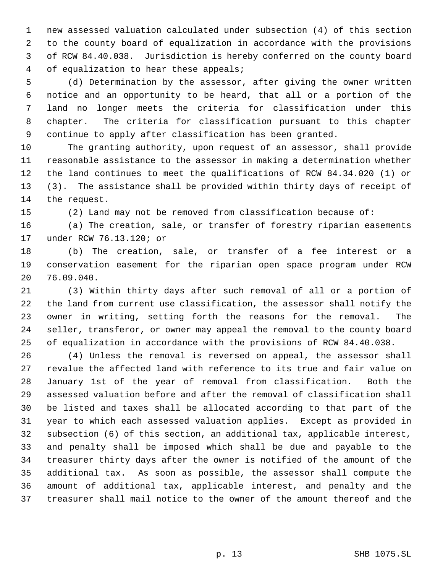new assessed valuation calculated under subsection (4) of this section to the county board of equalization in accordance with the provisions of RCW 84.40.038. Jurisdiction is hereby conferred on the county board of equalization to hear these appeals;

 (d) Determination by the assessor, after giving the owner written notice and an opportunity to be heard, that all or a portion of the land no longer meets the criteria for classification under this chapter. The criteria for classification pursuant to this chapter continue to apply after classification has been granted.

 The granting authority, upon request of an assessor, shall provide reasonable assistance to the assessor in making a determination whether the land continues to meet the qualifications of RCW 84.34.020 (1) or (3). The assistance shall be provided within thirty days of receipt of the request.

(2) Land may not be removed from classification because of:

 (a) The creation, sale, or transfer of forestry riparian easements under RCW 76.13.120; or

 (b) The creation, sale, or transfer of a fee interest or a conservation easement for the riparian open space program under RCW 76.09.040.

 (3) Within thirty days after such removal of all or a portion of the land from current use classification, the assessor shall notify the owner in writing, setting forth the reasons for the removal. The seller, transferor, or owner may appeal the removal to the county board of equalization in accordance with the provisions of RCW 84.40.038.

 (4) Unless the removal is reversed on appeal, the assessor shall revalue the affected land with reference to its true and fair value on January 1st of the year of removal from classification. Both the assessed valuation before and after the removal of classification shall be listed and taxes shall be allocated according to that part of the year to which each assessed valuation applies. Except as provided in subsection (6) of this section, an additional tax, applicable interest, and penalty shall be imposed which shall be due and payable to the treasurer thirty days after the owner is notified of the amount of the additional tax. As soon as possible, the assessor shall compute the amount of additional tax, applicable interest, and penalty and the treasurer shall mail notice to the owner of the amount thereof and the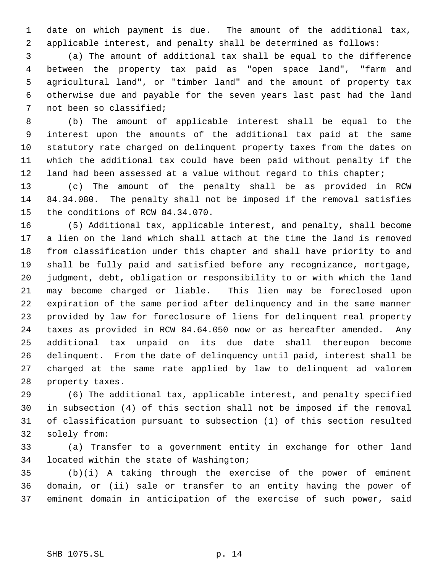date on which payment is due. The amount of the additional tax, applicable interest, and penalty shall be determined as follows:

 (a) The amount of additional tax shall be equal to the difference between the property tax paid as "open space land", "farm and agricultural land", or "timber land" and the amount of property tax otherwise due and payable for the seven years last past had the land not been so classified;

 (b) The amount of applicable interest shall be equal to the interest upon the amounts of the additional tax paid at the same statutory rate charged on delinquent property taxes from the dates on which the additional tax could have been paid without penalty if the land had been assessed at a value without regard to this chapter;

 (c) The amount of the penalty shall be as provided in RCW 84.34.080. The penalty shall not be imposed if the removal satisfies the conditions of RCW 84.34.070.

 (5) Additional tax, applicable interest, and penalty, shall become a lien on the land which shall attach at the time the land is removed from classification under this chapter and shall have priority to and shall be fully paid and satisfied before any recognizance, mortgage, judgment, debt, obligation or responsibility to or with which the land may become charged or liable. This lien may be foreclosed upon expiration of the same period after delinquency and in the same manner provided by law for foreclosure of liens for delinquent real property taxes as provided in RCW 84.64.050 now or as hereafter amended. Any additional tax unpaid on its due date shall thereupon become delinquent. From the date of delinquency until paid, interest shall be charged at the same rate applied by law to delinquent ad valorem property taxes.

 (6) The additional tax, applicable interest, and penalty specified in subsection (4) of this section shall not be imposed if the removal of classification pursuant to subsection (1) of this section resulted solely from:

 (a) Transfer to a government entity in exchange for other land located within the state of Washington;

 (b)(i) A taking through the exercise of the power of eminent domain, or (ii) sale or transfer to an entity having the power of eminent domain in anticipation of the exercise of such power, said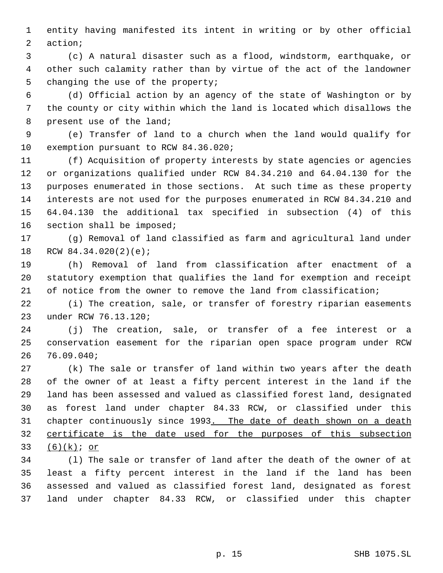entity having manifested its intent in writing or by other official action;

 (c) A natural disaster such as a flood, windstorm, earthquake, or other such calamity rather than by virtue of the act of the landowner changing the use of the property;

 (d) Official action by an agency of the state of Washington or by the county or city within which the land is located which disallows the present use of the land;

 (e) Transfer of land to a church when the land would qualify for exemption pursuant to RCW 84.36.020;

 (f) Acquisition of property interests by state agencies or agencies or organizations qualified under RCW 84.34.210 and 64.04.130 for the purposes enumerated in those sections. At such time as these property interests are not used for the purposes enumerated in RCW 84.34.210 and 64.04.130 the additional tax specified in subsection (4) of this section shall be imposed;

 (g) Removal of land classified as farm and agricultural land under RCW 84.34.020(2)(e);

 (h) Removal of land from classification after enactment of a statutory exemption that qualifies the land for exemption and receipt 21 of notice from the owner to remove the land from classification;

 (i) The creation, sale, or transfer of forestry riparian easements under RCW 76.13.120;

 (j) The creation, sale, or transfer of a fee interest or a conservation easement for the riparian open space program under RCW 76.09.040;

 (k) The sale or transfer of land within two years after the death of the owner of at least a fifty percent interest in the land if the land has been assessed and valued as classified forest land, designated as forest land under chapter 84.33 RCW, or classified under this chapter continuously since 1993. The date of death shown on a death certificate is the date used for the purposes of this subsection (6)(k); or

 (l) The sale or transfer of land after the death of the owner of at least a fifty percent interest in the land if the land has been assessed and valued as classified forest land, designated as forest land under chapter 84.33 RCW, or classified under this chapter